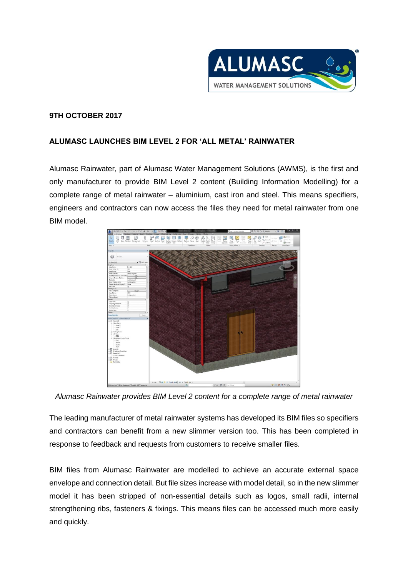

## **9TH OCTOBER 2017**

## **ALUMASC LAUNCHES BIM LEVEL 2 FOR 'ALL METAL' RAINWATER**

Alumasc Rainwater, part of Alumasc Water Management Solutions (AWMS), is the first and only manufacturer to provide BIM Level 2 content (Building Information Modelling) for a complete range of metal rainwater – aluminium, cast iron and steel. This means specifiers, engineers and contractors can now access the files they need for metal rainwater from one BIM model.



*Alumasc Rainwater provides BIM Level 2 content for a complete range of metal rainwater*

The leading manufacturer of metal rainwater systems has developed its BIM files so specifiers and contractors can benefit from a new slimmer version too. This has been completed in response to feedback and requests from customers to receive smaller files.

BIM files from Alumasc Rainwater are modelled to achieve an accurate external space envelope and connection detail. But file sizes increase with model detail, so in the new slimmer model it has been stripped of non-essential details such as logos, small radii, internal strengthening ribs, fasteners & fixings. This means files can be accessed much more easily and quickly.